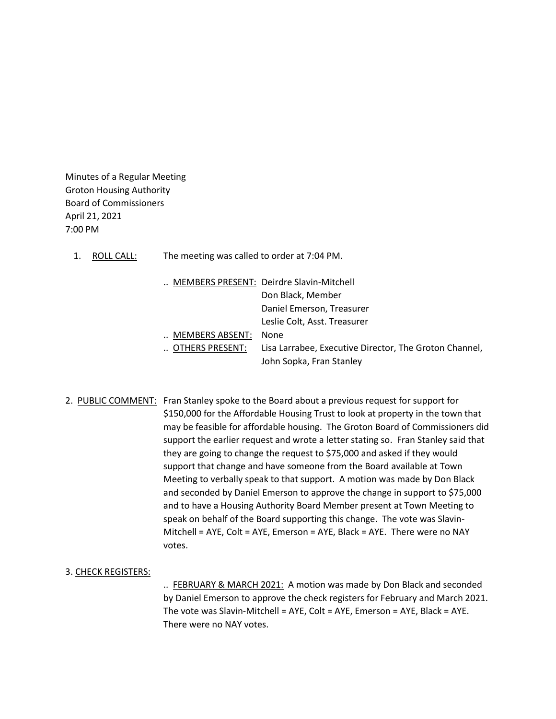Minutes of a Regular Meeting Groton Housing Authority Board of Commissioners April 21, 2021 7:00 PM

1. ROLL CALL: The meeting was called to order at 7:04 PM.

|                 | MEMBERS PRESENT: Deirdre Slavin-Mitchell               |
|-----------------|--------------------------------------------------------|
|                 | Don Black, Member                                      |
|                 | Daniel Emerson, Treasurer                              |
|                 | Leslie Colt, Asst. Treasurer                           |
| MEMBERS ABSENT: | None                                                   |
| OTHERS PRESENT: | Lisa Larrabee, Executive Director, The Groton Channel, |
|                 | John Sopka, Fran Stanley                               |

2. PUBLIC COMMENT: Fran Stanley spoke to the Board about a previous request for support for \$150,000 for the Affordable Housing Trust to look at property in the town that may be feasible for affordable housing. The Groton Board of Commissioners did support the earlier request and wrote a letter stating so. Fran Stanley said that they are going to change the request to \$75,000 and asked if they would support that change and have someone from the Board available at Town Meeting to verbally speak to that support. A motion was made by Don Black and seconded by Daniel Emerson to approve the change in support to \$75,000 and to have a Housing Authority Board Member present at Town Meeting to speak on behalf of the Board supporting this change. The vote was Slavin-Mitchell = AYE, Colt = AYE, Emerson = AYE, Black = AYE. There were no NAY votes.

# 3. CHECK REGISTERS:

.. FEBRUARY & MARCH 2021: A motion was made by Don Black and seconded by Daniel Emerson to approve the check registers for February and March 2021. The vote was Slavin-Mitchell = AYE, Colt = AYE, Emerson = AYE, Black = AYE. There were no NAY votes.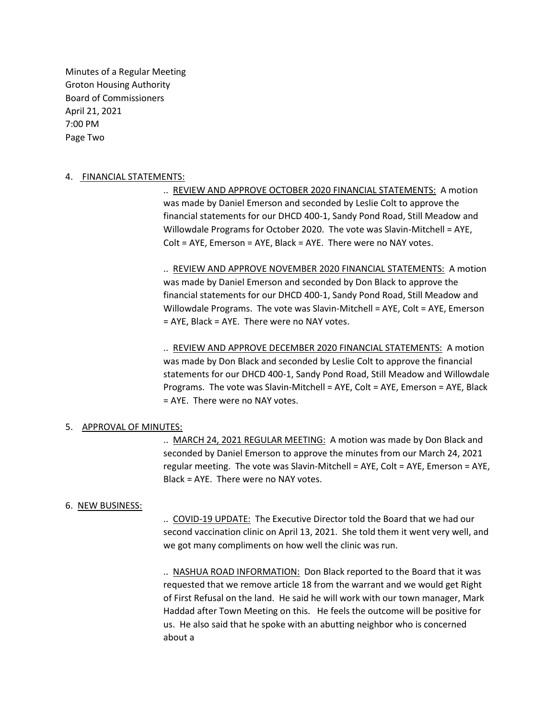Minutes of a Regular Meeting Groton Housing Authority Board of Commissioners April 21, 2021 7:00 PM Page Two

# 4. FINANCIAL STATEMENTS:

.. REVIEW AND APPROVE OCTOBER 2020 FINANCIAL STATEMENTS: A motion was made by Daniel Emerson and seconded by Leslie Colt to approve the financial statements for our DHCD 400-1, Sandy Pond Road, Still Meadow and Willowdale Programs for October 2020. The vote was Slavin-Mitchell = AYE, Colt = AYE, Emerson = AYE, Black = AYE. There were no NAY votes.

.. REVIEW AND APPROVE NOVEMBER 2020 FINANCIAL STATEMENTS: A motion was made by Daniel Emerson and seconded by Don Black to approve the financial statements for our DHCD 400-1, Sandy Pond Road, Still Meadow and Willowdale Programs. The vote was Slavin-Mitchell = AYE, Colt = AYE, Emerson = AYE, Black = AYE. There were no NAY votes.

.. REVIEW AND APPROVE DECEMBER 2020 FINANCIAL STATEMENTS: A motion was made by Don Black and seconded by Leslie Colt to approve the financial statements for our DHCD 400-1, Sandy Pond Road, Still Meadow and Willowdale Programs. The vote was Slavin-Mitchell = AYE, Colt = AYE, Emerson = AYE, Black = AYE. There were no NAY votes.

# 5. APPROVAL OF MINUTES:

.. MARCH 24, 2021 REGULAR MEETING: A motion was made by Don Black and seconded by Daniel Emerson to approve the minutes from our March 24, 2021 regular meeting. The vote was Slavin-Mitchell = AYE, Colt = AYE, Emerson = AYE, Black = AYE. There were no NAY votes.

# 6. NEW BUSINESS:

.. COVID-19 UPDATE: The Executive Director told the Board that we had our second vaccination clinic on April 13, 2021. She told them it went very well, and we got many compliments on how well the clinic was run.

.. NASHUA ROAD INFORMATION: Don Black reported to the Board that it was requested that we remove article 18 from the warrant and we would get Right of First Refusal on the land. He said he will work with our town manager, Mark Haddad after Town Meeting on this. He feels the outcome will be positive for us. He also said that he spoke with an abutting neighbor who is concerned about a